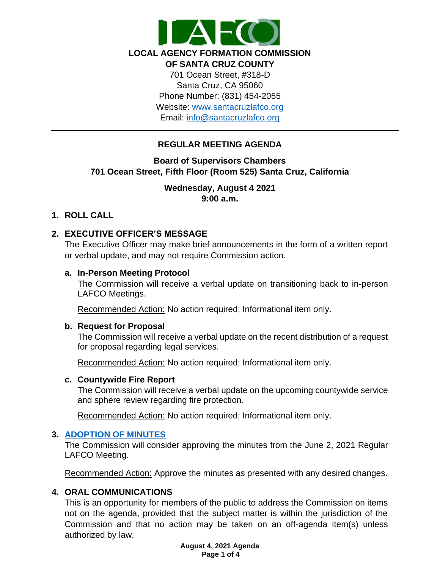

**LOCAL AGENCY FORMATION COMMISSION** 

**OF SANTA CRUZ COUNTY** 701 Ocean Street, #318-D Santa Cruz, CA 95060 Phone Number: (831) 454-2055 Website: [www.santacruzlafco.org](http://www.santacruzlafco.org/) Email: [info@santacruzlafco.org](mailto:info@santacruzlafco.org)

# **REGULAR MEETING AGENDA**

# **Board of Supervisors Chambers 701 Ocean Street, Fifth Floor (Room 525) Santa Cruz, California**

# **Wednesday, August 4 2021 9:00 a.m.**

# **1. ROLL CALL**

# **2. EXECUTIVE OFFICER'S MESSAGE**

The Executive Officer may make brief announcements in the form of a written report or verbal update, and may not require Commission action.

#### **a. In-Person Meeting Protocol**

The Commission will receive a verbal update on transitioning back to in-person LAFCO Meetings.

Recommended Action: No action required; Informational item only.

#### **b. Request for Proposal**

The Commission will receive a verbal update on the recent distribution of a request for proposal regarding legal services.

Recommended Action: No action required; Informational item only.

## **c. Countywide Fire Report**

The Commission will receive a verbal update on the upcoming countywide service and sphere review regarding fire protection.

Recommended Action: No action required; Informational item only.

## **3. [ADOPTION OF MINUTES](https://www.santacruzlafco.org/wp-content/uploads/2021/07/3.0-Draft-Minutes-June-2-Meeting.pdf)**

The Commission will consider approving the minutes from the June 2, 2021 Regular LAFCO Meeting.

Recommended Action: Approve the minutes as presented with any desired changes.

## **4. ORAL COMMUNICATIONS**

This is an opportunity for members of the public to address the Commission on items not on the agenda, provided that the subject matter is within the jurisdiction of the Commission and that no action may be taken on an off-agenda item(s) unless authorized by law.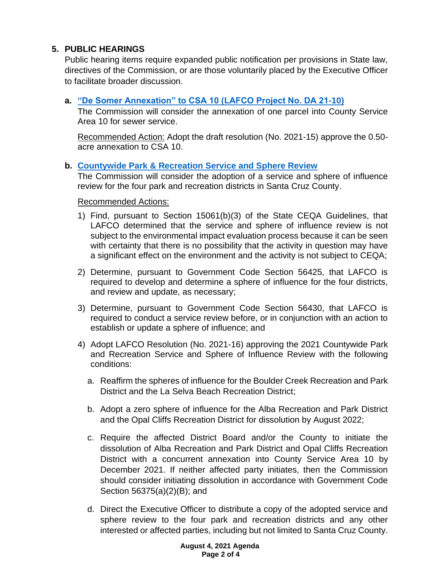# **5. PUBLIC HEARINGS**

Public hearing items require expanded public notification per provisions in State law, directives of the Commission, or are those voluntarily placed by the Executive Officer to facilitate broader discussion.

# **a. ["De Somer Annexation" to CSA 10 \(LAFCO Project No. DA 21-10\)](https://www.santacruzlafco.org/wp-content/uploads/2021/07/5a.0-De-Somer-Annex-Staff-Report_Hyperlink.pdf)**

The Commission will consider the annexation of one parcel into County Service Area 10 for sewer service.

Recommended Action: Adopt the draft resolution (No. 2021-15) approve the 0.50 acre annexation to CSA 10.

## **b. [Countywide Park & Recreation Service and Sphere Review](https://www.santacruzlafco.org/wp-content/uploads/2021/07/5b.0-Park-Rec-MSR-Staff-Report_Hyperlink._.pdf)**

The Commission will consider the adoption of a service and sphere of influence review for the four park and recreation districts in Santa Cruz County.

Recommended Actions:

- 1) Find, pursuant to Section 15061(b)(3) of the State CEQA Guidelines, that LAFCO determined that the service and sphere of influence review is not subject to the environmental impact evaluation process because it can be seen with certainty that there is no possibility that the activity in question may have a significant effect on the environment and the activity is not subject to CEQA;
- 2) Determine, pursuant to Government Code Section 56425, that LAFCO is required to develop and determine a sphere of influence for the four districts, and review and update, as necessary;
- 3) Determine, pursuant to Government Code Section 56430, that LAFCO is required to conduct a service review before, or in conjunction with an action to establish or update a sphere of influence; and
- 4) Adopt LAFCO Resolution (No. 2021-16) approving the 2021 Countywide Park and Recreation Service and Sphere of Influence Review with the following conditions:
	- a. Reaffirm the spheres of influence for the Boulder Creek Recreation and Park District and the La Selva Beach Recreation District;
	- b. Adopt a zero sphere of influence for the Alba Recreation and Park District and the Opal Cliffs Recreation District for dissolution by August 2022;
	- c. Require the affected District Board and/or the County to initiate the dissolution of Alba Recreation and Park District and Opal Cliffs Recreation District with a concurrent annexation into County Service Area 10 by December 2021. If neither affected party initiates, then the Commission should consider initiating dissolution in accordance with Government Code Section 56375(a)(2)(B); and
	- d. Direct the Executive Officer to distribute a copy of the adopted service and sphere review to the four park and recreation districts and any other interested or affected parties, including but not limited to Santa Cruz County.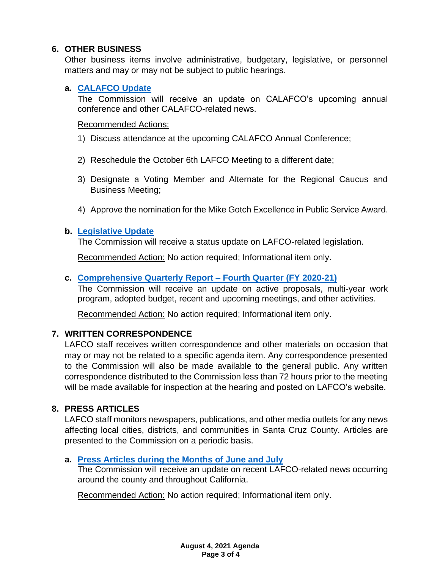# **6. OTHER BUSINESS**

Other business items involve administrative, budgetary, legislative, or personnel matters and may or may not be subject to public hearings.

# **a. [CALAFCO Update](https://www.santacruzlafco.org/wp-content/uploads/2021/07/6a.0-CALAFCO-Update-Staff-Report_Hyperlink.pdf)**

The Commission will receive an update on CALAFCO's upcoming annual conference and other CALAFCO-related news.

#### Recommended Actions:

- 1) Discuss attendance at the upcoming CALAFCO Annual Conference;
- 2) Reschedule the October 6th LAFCO Meeting to a different date;
- 3) Designate a Voting Member and Alternate for the Regional Caucus and Business Meeting;
- 4) Approve the nomination for the Mike Gotch Excellence in Public Service Award.

# **b. [Legislative Update](https://www.santacruzlafco.org/wp-content/uploads/2021/07/6b.0-Leg-Update-Staff-Report_Hyperlink.pdf)**

The Commission will receive a status update on LAFCO-related legislation.

Recommended Action: No action required; Informational item only.

# **c. [Comprehensive Quarterly Report –](https://www.santacruzlafco.org/wp-content/uploads/2021/07/6c.0-Comp-Qtrly-Update-Staff-Report_Hyperlink.pdf) Fourth Quarter (FY 2020-21)**

The Commission will receive an update on active proposals, multi-year work program, adopted budget, recent and upcoming meetings, and other activities.

Recommended Action: No action required; Informational item only.

# **7. WRITTEN CORRESPONDENCE**

LAFCO staff receives written correspondence and other materials on occasion that may or may not be related to a specific agenda item. Any correspondence presented to the Commission will also be made available to the general public. Any written correspondence distributed to the Commission less than 72 hours prior to the meeting will be made available for inspection at the hearing and posted on LAFCO's website.

## **8. PRESS ARTICLES**

LAFCO staff monitors newspapers, publications, and other media outlets for any news affecting local cities, districts, and communities in Santa Cruz County. Articles are presented to the Commission on a periodic basis.

## **a. [Press Articles during the Months of June and July](https://www.santacruzlafco.org/wp-content/uploads/2021/07/8a.0-Press-Articles-Staff-Report_Hyperlink.pdf)**

The Commission will receive an update on recent LAFCO-related news occurring around the county and throughout California.

Recommended Action: No action required; Informational item only.